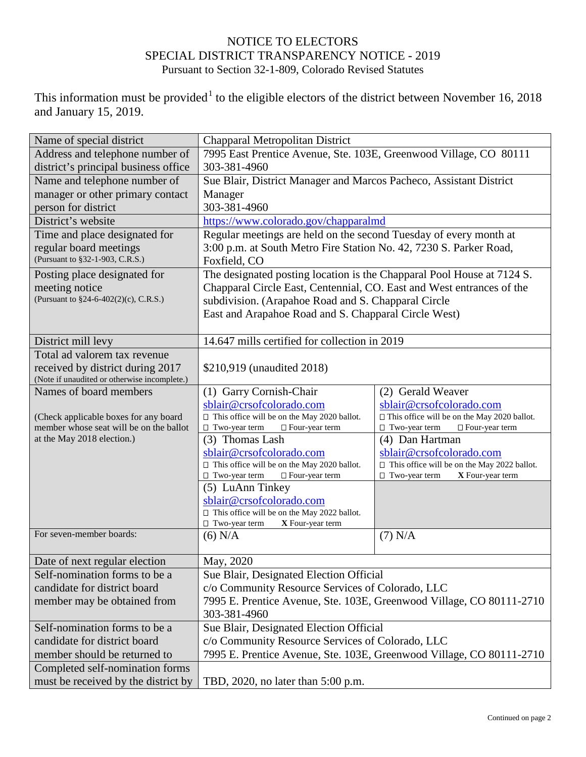## NOTICE TO ELECTORS SPECIAL DISTRICT TRANSPARENCY NOTICE - 2019 Pursuant to Section 32-1-809, Colorado Revised Statutes

This information must be provided<sup>[1](#page-1-0)</sup> to the eligible electors of the district between November 16, 2018 and January 15, 2019.

| Name of special district                     | Chapparal Metropolitan District                                        |                                                    |  |
|----------------------------------------------|------------------------------------------------------------------------|----------------------------------------------------|--|
| Address and telephone number of              | 7995 East Prentice Avenue, Ste. 103E, Greenwood Village, CO 80111      |                                                    |  |
| district's principal business office         | 303-381-4960                                                           |                                                    |  |
| Name and telephone number of                 | Sue Blair, District Manager and Marcos Pacheco, Assistant District     |                                                    |  |
| manager or other primary contact             | Manager                                                                |                                                    |  |
| person for district                          | 303-381-4960                                                           |                                                    |  |
| District's website                           | https://www.colorado.gov/chapparalmd                                   |                                                    |  |
| Time and place designated for                | Regular meetings are held on the second Tuesday of every month at      |                                                    |  |
| regular board meetings                       | 3:00 p.m. at South Metro Fire Station No. 42, 7230 S. Parker Road,     |                                                    |  |
| (Pursuant to §32-1-903, C.R.S.)              | Foxfield, CO                                                           |                                                    |  |
| Posting place designated for                 | The designated posting location is the Chapparal Pool House at 7124 S. |                                                    |  |
| meeting notice                               | Chapparal Circle East, Centennial, CO. East and West entrances of the  |                                                    |  |
| (Pursuant to §24-6-402(2)(c), C.R.S.)        | subdivision. (Arapahoe Road and S. Chapparal Circle                    |                                                    |  |
|                                              | East and Arapahoe Road and S. Chapparal Circle West)                   |                                                    |  |
|                                              |                                                                        |                                                    |  |
| District mill levy                           | 14.647 mills certified for collection in 2019                          |                                                    |  |
| Total ad valorem tax revenue                 |                                                                        |                                                    |  |
| received by district during 2017             | \$210,919 (unaudited 2018)                                             |                                                    |  |
| (Note if unaudited or otherwise incomplete.) |                                                                        |                                                    |  |
| Names of board members                       | (1) Garry Cornish-Chair                                                | (2) Gerald Weaver                                  |  |
|                                              | sblair@crsofcolorado.com                                               | sblair@crsofcolorado.com                           |  |
| (Check applicable boxes for any board        | $\Box$ This office will be on the May 2020 ballot.                     | □ This office will be on the May 2020 ballot.      |  |
| member whose seat will be on the ballot      | $\Box$ Two-year term<br>□ Four-year term                               | $\Box$ Two-year term<br>□ Four-year term           |  |
| at the May 2018 election.)                   | (3) Thomas Lash                                                        | (4) Dan Hartman                                    |  |
|                                              | sblair@crsofcolorado.com                                               | sblair@crsofcolorado.com                           |  |
|                                              | $\Box$ This office will be on the May 2020 ballot.                     | $\Box$ This office will be on the May 2022 ballot. |  |
|                                              | $\Box$ Two-year term<br>□ Four-year term                               | $\Box$ Two-year term<br>X Four-year term           |  |
|                                              | (5) LuAnn Tinkey                                                       |                                                    |  |
|                                              | sblair@crsofcolorado.com                                               |                                                    |  |
|                                              | $\Box$ This office will be on the May 2022 ballot.                     |                                                    |  |
|                                              | $\Box$ Two-year term<br>X Four-year term                               |                                                    |  |
| For seven-member boards:                     | $(6)$ N/A                                                              | $(7)$ N/A                                          |  |
| Date of next regular election                | May, 2020                                                              |                                                    |  |
| Self-nomination forms to be a                | Sue Blair, Designated Election Official                                |                                                    |  |
| candidate for district board                 | c/o Community Resource Services of Colorado, LLC                       |                                                    |  |
| member may be obtained from                  | 7995 E. Prentice Avenue, Ste. 103E, Greenwood Village, CO 80111-2710   |                                                    |  |
|                                              | 303-381-4960                                                           |                                                    |  |
| Self-nomination forms to be a                | Sue Blair, Designated Election Official                                |                                                    |  |
| candidate for district board                 | c/o Community Resource Services of Colorado, LLC                       |                                                    |  |
| member should be returned to                 | 7995 E. Prentice Avenue, Ste. 103E, Greenwood Village, CO 80111-2710   |                                                    |  |
| Completed self-nomination forms              |                                                                        |                                                    |  |
| must be received by the district by          | TBD, 2020, no later than 5:00 p.m.                                     |                                                    |  |